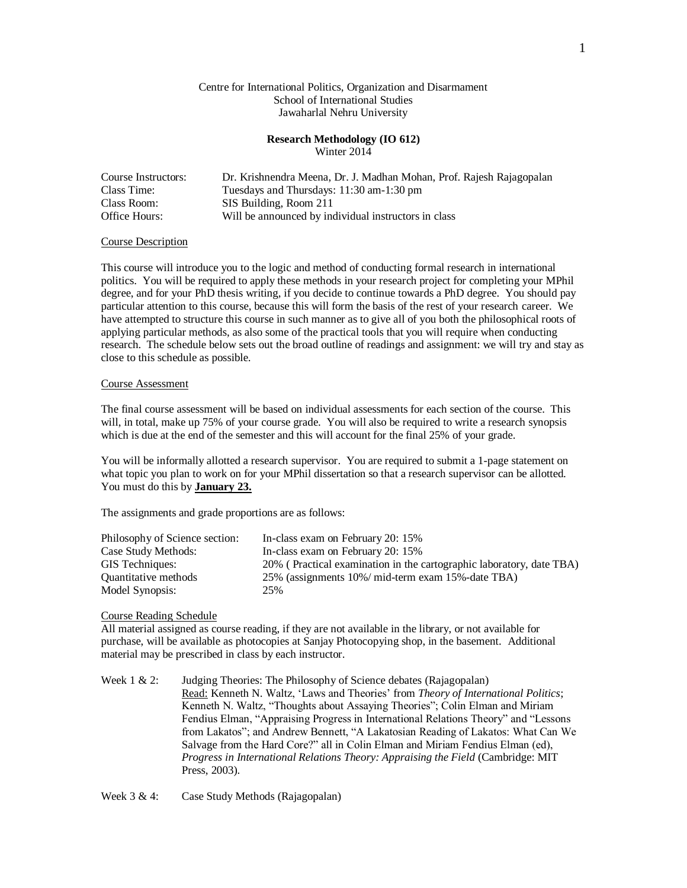# Centre for International Politics, Organization and Disarmament School of International Studies Jawaharlal Nehru University

### **Research Methodology (IO 612)** Winter 2014

| Course Instructors: | Dr. Krishnendra Meena, Dr. J. Madhan Mohan, Prof. Rajesh Rajagopalan |
|---------------------|----------------------------------------------------------------------|
| Class Time:         | Tuesdays and Thursdays: 11:30 am-1:30 pm                             |
| Class Room:         | SIS Building, Room 211                                               |
| Office Hours:       | Will be announced by individual instructors in class                 |

## Course Description

This course will introduce you to the logic and method of conducting formal research in international politics. You will be required to apply these methods in your research project for completing your MPhil degree, and for your PhD thesis writing, if you decide to continue towards a PhD degree. You should pay particular attention to this course, because this will form the basis of the rest of your research career. We have attempted to structure this course in such manner as to give all of you both the philosophical roots of applying particular methods, as also some of the practical tools that you will require when conducting research. The schedule below sets out the broad outline of readings and assignment: we will try and stay as close to this schedule as possible.

## Course Assessment

The final course assessment will be based on individual assessments for each section of the course. This will, in total, make up 75% of your course grade. You will also be required to write a research synopsis which is due at the end of the semester and this will account for the final 25% of your grade.

You will be informally allotted a research supervisor. You are required to submit a 1-page statement on what topic you plan to work on for your MPhil dissertation so that a research supervisor can be allotted. You must do this by **January 23.**

The assignments and grade proportions are as follows:

| Philosophy of Science section: | In-class exam on February 20: 15%                                    |
|--------------------------------|----------------------------------------------------------------------|
| Case Study Methods:            | In-class exam on February 20: 15%                                    |
| <b>GIS</b> Techniques:         | 20% (Practical examination in the cartographic laboratory, date TBA) |
| <b>Ouantitative methods</b>    | 25% (assignments 10%/ mid-term exam 15%-date TBA)                    |
| Model Synopsis:                | 25%                                                                  |

## Course Reading Schedule

All material assigned as course reading, if they are not available in the library, or not available for purchase, will be available as photocopies at Sanjay Photocopying shop, in the basement. Additional material may be prescribed in class by each instructor.

Week  $1 \& 2$ : Judging Theories: The Philosophy of Science debates (Rajagopalan) Read: Kenneth N. Waltz, 'Laws and Theories' from *Theory of International Politics*; Kenneth N. Waltz, "Thoughts about Assaying Theories"; Colin Elman and Miriam Fendius Elman, "Appraising Progress in International Relations Theory" and "Lessons from Lakatos"; and Andrew Bennett, "A Lakatosian Reading of Lakatos: What Can We Salvage from the Hard Core?" all in Colin Elman and Miriam Fendius Elman (ed), *Progress in International Relations Theory: Appraising the Field* (Cambridge: MIT Press, 2003).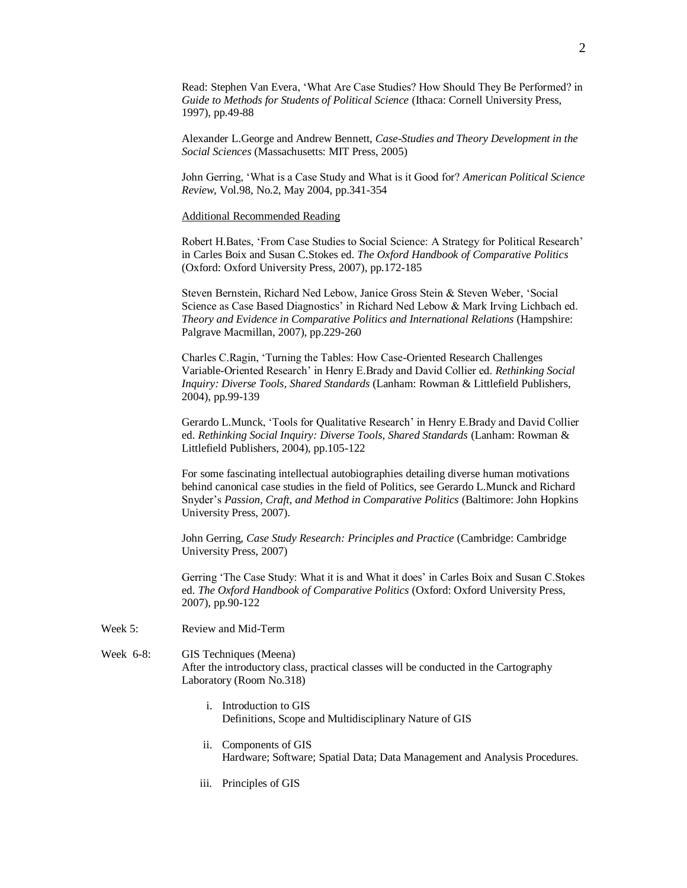Read: Stephen Van Evera, 'What Are Case Studies? How Should They Be Performed? in *Guide to Methods for Students of Political Science* (Ithaca: Cornell University Press, 1997), pp.49-88

Alexander L.George and Andrew Bennett, *Case-Studies and Theory Development in the Social Sciences* (Massachusetts: MIT Press, 2005)

John Gerring, 'What is a Case Study and What is it Good for? *American Political Science Review*, Vol.98, No.2, May 2004, pp.341-354

## Additional Recommended Reading

Robert H.Bates, 'From Case Studies to Social Science: A Strategy for Political Research' in Carles Boix and Susan C.Stokes ed. *The Oxford Handbook of Comparative Politics* (Oxford: Oxford University Press, 2007), pp.172-185

Steven Bernstein, Richard Ned Lebow, Janice Gross Stein & Steven Weber, 'Social Science as Case Based Diagnostics' in Richard Ned Lebow & Mark Irving Lichbach ed. *Theory and Evidence in Comparative Politics and International Relations* (Hampshire: Palgrave Macmillan, 2007), pp.229-260

Charles C.Ragin, 'Turning the Tables: How Case-Oriented Research Challenges Variable-Oriented Research' in Henry E.Brady and David Collier ed. *Rethinking Social Inquiry: Diverse Tools, Shared Standards* (Lanham: Rowman & Littlefield Publishers, 2004), pp.99-139

Gerardo L.Munck, 'Tools for Qualitative Research' in Henry E.Brady and David Collier ed. *Rethinking Social Inquiry: Diverse Tools, Shared Standards* (Lanham: Rowman & Littlefield Publishers, 2004), pp.105-122

For some fascinating intellectual autobiographies detailing diverse human motivations behind canonical case studies in the field of Politics, see Gerardo L.Munck and Richard Snyder's *Passion, Craft, and Method in Comparative Politics* (Baltimore: John Hopkins University Press, 2007).

John Gerring, *Case Study Research: Principles and Practice* (Cambridge: Cambridge University Press, 2007)

Gerring 'The Case Study: What it is and What it does' in Carles Boix and Susan C.Stokes ed. *The Oxford Handbook of Comparative Politics* (Oxford: Oxford University Press, 2007), pp.90-122

Week 5: Review and Mid-Term

## Week 6-8: GIS Techniques (Meena) After the introductory class, practical classes will be conducted in the Cartography Laboratory (Room No.318)

- i. Introduction to GIS Definitions, Scope and Multidisciplinary Nature of GIS
- ii. Components of GIS Hardware; Software; Spatial Data; Data Management and Analysis Procedures.
- iii. Principles of GIS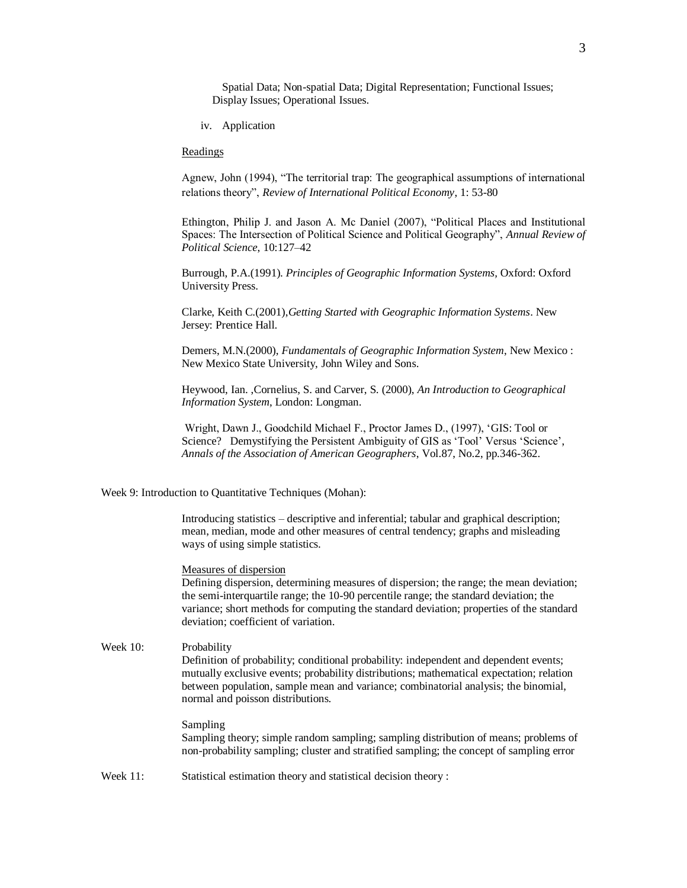Spatial Data; Non-spatial Data; Digital Representation; Functional Issues; Display Issues; Operational Issues.

iv. Application

Readings

Agnew, John (1994), "The territorial trap: The geographical assumptions of international relations theory", *Review of International Political Economy*, 1: 53-80

Ethington, Philip J. and Jason A. Mc Daniel (2007), "Political Places and Institutional Spaces: The Intersection of Political Science and Political Geography", *Annual Review of Political Science*, 10:127–42

Burrough, P.A.(1991). *Principles of Geographic Information Systems,* Oxford: Oxford University Press.

Clarke, Keith C.(2001),*Getting Started with Geographic Information Systems*. New Jersey: Prentice Hall.

Demers, M.N.(2000), *Fundamentals of Geographic Information System*, New Mexico : New Mexico State University, John Wiley and Sons.

Heywood, Ian. ,Cornelius, S. and Carver, S. (2000), *An Introduction to Geographical Information System*, London: Longman.

Wright, Dawn J., Goodchild Michael F., Proctor James D., (1997), 'GIS: Tool or Science? Demystifying the Persistent Ambiguity of GIS as 'Tool' Versus 'Science', *Annals of the Association of American Geographers*, Vol.87, No.2, pp.346-362.

# Week 9: Introduction to Quantitative Techniques (Mohan):

Introducing statistics – descriptive and inferential; tabular and graphical description; mean, median, mode and other measures of central tendency; graphs and misleading ways of using simple statistics.

### Measures of dispersion

Defining dispersion, determining measures of dispersion; the range; the mean deviation; the semi-interquartile range; the 10-90 percentile range; the standard deviation; the variance; short methods for computing the standard deviation; properties of the standard deviation; coefficient of variation.

Week 10: Probability Definition of probability; conditional probability: independent and dependent events; mutually exclusive events; probability distributions; mathematical expectation; relation between population, sample mean and variance; combinatorial analysis; the binomial, normal and poisson distributions.

#### Sampling

Sampling theory; simple random sampling; sampling distribution of means; problems of non-probability sampling; cluster and stratified sampling; the concept of sampling error

Week 11: Statistical estimation theory and statistical decision theory :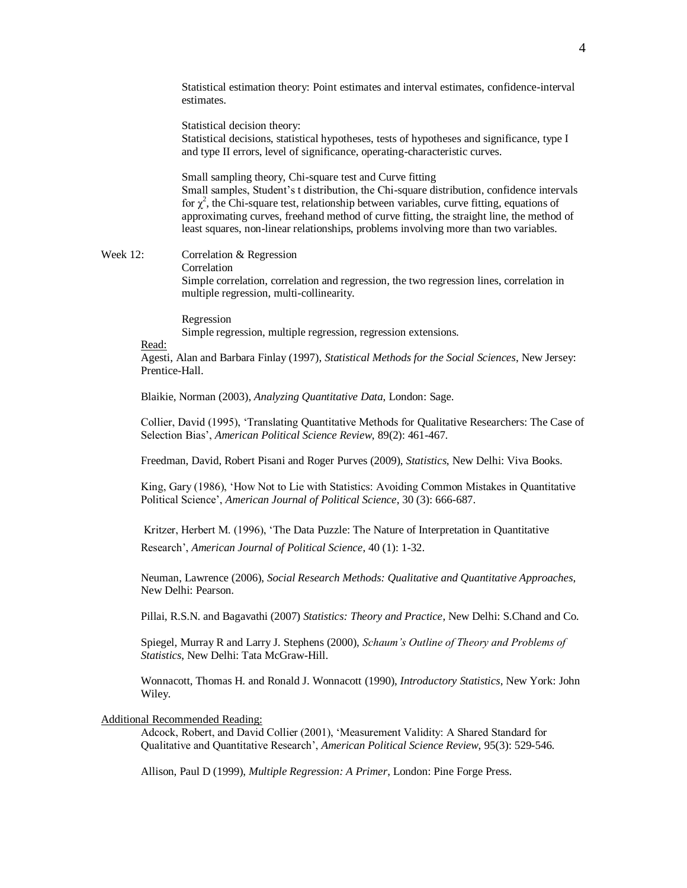Statistical estimation theory: Point estimates and interval estimates, confidence-interval estimates.

Statistical decision theory:

Statistical decisions, statistical hypotheses, tests of hypotheses and significance, type I and type II errors, level of significance, operating-characteristic curves.

Small sampling theory, Chi-square test and Curve fitting Small samples, Student's t distribution, the Chi-square distribution, confidence intervals for  $\chi^2$ , the Chi-square test, relationship between variables, curve fitting, equations of approximating curves, freehand method of curve fitting, the straight line, the method of least squares, non-linear relationships, problems involving more than two variables.

Week 12: Correlation & Regression Correlation Simple correlation, correlation and regression, the two regression lines, correlation in multiple regression, multi-collinearity.

> Regression Simple regression, multiple regression, regression extensions.

Read:

Agesti, Alan and Barbara Finlay (1997), *Statistical Methods for the Social Sciences*, New Jersey: Prentice-Hall.

Blaikie, Norman (2003), *Analyzing Quantitative Data*, London: Sage.

Collier, David (1995), 'Translating Quantitative Methods for Qualitative Researchers: The Case of Selection Bias', *American Political Science Review*, 89(2): 461-467.

Freedman, David, Robert Pisani and Roger Purves (2009), *Statistics*, New Delhi: Viva Books.

King, Gary (1986), 'How Not to Lie with Statistics: Avoiding Common Mistakes in Quantitative Political Science', *American Journal of Political Science*, 30 (3): 666-687.

Kritzer, Herbert M. (1996), 'The Data Puzzle: The Nature of Interpretation in Quantitative Research', *American Journal of Political Science*, 40 (1): 1-32.

Neuman, Lawrence (2006), *Social Research Methods: Qualitative and Quantitative Approaches*, New Delhi: Pearson.

Pillai, R.S.N. and Bagavathi (2007) *Statistics: Theory and Practice*, New Delhi: S.Chand and Co.

Spiegel, Murray R and Larry J. Stephens (2000), *Schaum's Outline of Theory and Problems of Statistics*, New Delhi: Tata McGraw-Hill.

Wonnacott, Thomas H. and Ronald J. Wonnacott (1990), *Introductory Statistics*, New York: John Wiley.

## Additional Recommended Reading:

Adcock, Robert, and David Collier (2001), 'Measurement Validity: A Shared Standard for Qualitative and Quantitative Research', *American Political Science Review*, 95(3): 529-546.

Allison, Paul D (1999), *Multiple Regression: A Primer*, London: Pine Forge Press.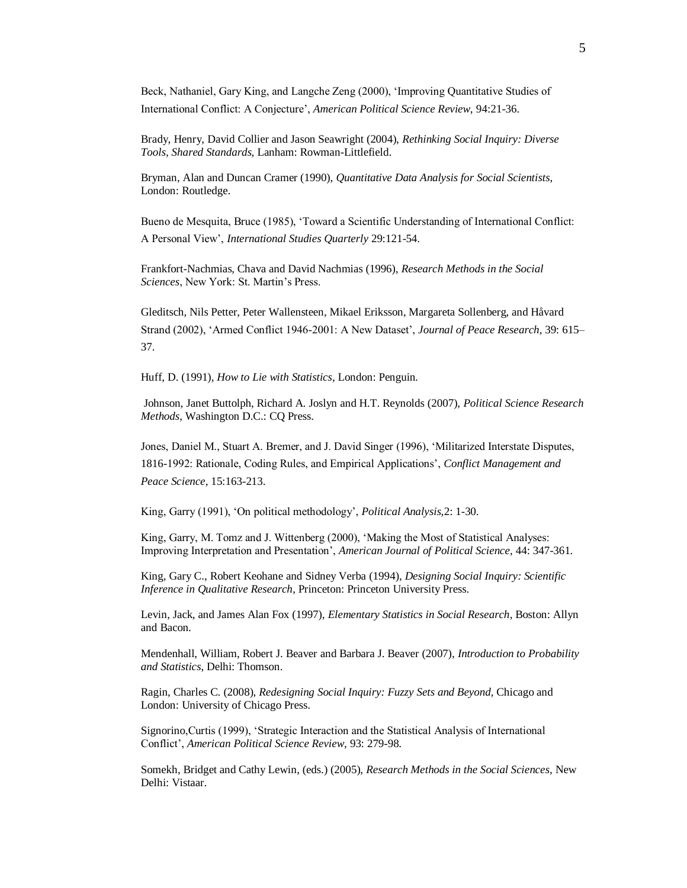Beck, Nathaniel, Gary King, and Langche Zeng (2000), 'Improving Quantitative Studies of International Conflict: A Conjecture', *American Political Science Review*, 94:21-36.

Brady, Henry, David Collier and Jason Seawright (2004), *Rethinking Social Inquiry: Diverse Tools, Shared Standards*, Lanham: Rowman-Littlefield.

Bryman, Alan and Duncan Cramer (1990), *Quantitative Data Analysis for Social Scientists*, London: Routledge.

Bueno de Mesquita, Bruce (1985), 'Toward a Scientific Understanding of International Conflict: A Personal View', *International Studies Quarterly* 29:121-54.

Frankfort-Nachmias, Chava and David Nachmias (1996), *Research Methods in the Social Sciences*, New York: St. Martin's Press.

Gleditsch, Nils Petter, Peter Wallensteen, Mikael Eriksson, Margareta Sollenberg, and Håvard Strand (2002), 'Armed Conflict 1946-2001: A New Dataset', *Journal of Peace Research*, 39: 615– 37.

Huff, D. (1991), *How to Lie with Statistics*, London: Penguin.

Johnson, Janet Buttolph, Richard A. Joslyn and H.T. Reynolds (2007), *Political Science Research Methods*, Washington D.C.: CQ Press.

Jones, Daniel M., Stuart A. Bremer, and J. David Singer (1996), 'Militarized Interstate Disputes, 1816-1992: Rationale, Coding Rules, and Empirical Applications', *Conflict Management and Peace Science*, 15:163-213.

King, Garry (1991), 'On political methodology', *Political Analysis,*2: 1-30.

King, Garry, M. Tomz and J. Wittenberg (2000), 'Making the Most of Statistical Analyses: Improving Interpretation and Presentation', *American Journal of Political Science*, 44: 347-361.

King, Gary C., Robert Keohane and Sidney Verba (1994), *Designing Social Inquiry: Scientific Inference in Qualitative Research*, Princeton: Princeton University Press.

Levin, Jack, and James Alan Fox (1997), *Elementary Statistics in Social Research*, Boston: Allyn and Bacon.

Mendenhall, William, Robert J. Beaver and Barbara J. Beaver (2007), *Introduction to Probability and Statistics*, Delhi: Thomson.

Ragin, Charles C. (2008), *Redesigning Social Inquiry: Fuzzy Sets and Beyond*, Chicago and London: University of Chicago Press.

Signorino,Curtis (1999), 'Strategic Interaction and the Statistical Analysis of International Conflict', *American Political Science Review*, 93: 279-98.

Somekh, Bridget and Cathy Lewin, (eds.) (2005), *Research Methods in the Social Sciences*, New Delhi: Vistaar.